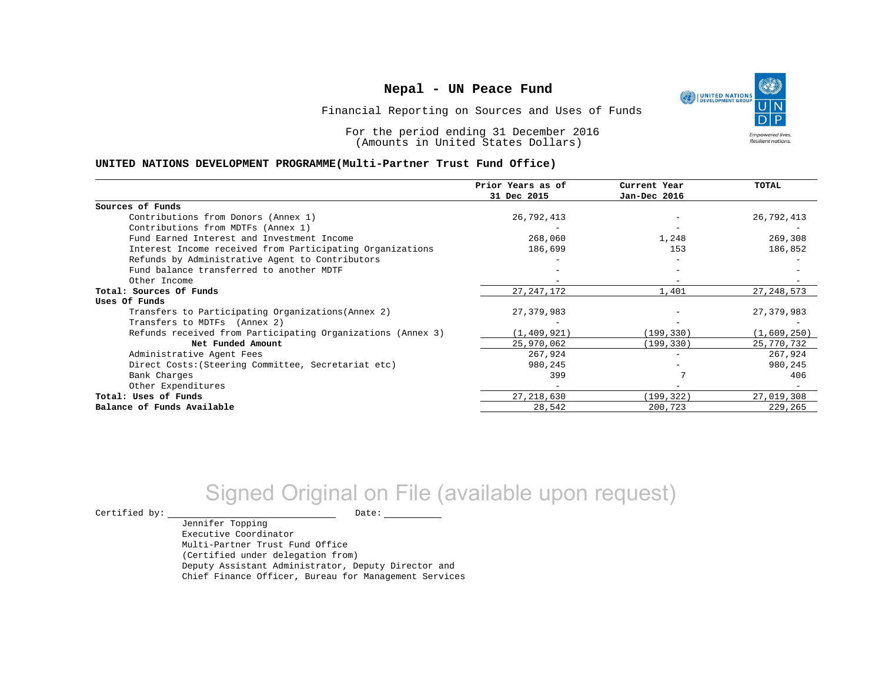UNITED NATIONS **Empowered lives** Resilient nations.

Financial Reporting on Sources and Uses of Funds

For the period ending 31 December 2016 (Amounts in United States Dollars)

#### **UNITED NATIONS DEVELOPMENT PROGRAMME(Multi-Partner Trust Fund Office)**

|                                                             | Prior Years as of | Current Year | <b>TOTAL</b> |
|-------------------------------------------------------------|-------------------|--------------|--------------|
|                                                             | 31 Dec 2015       | Jan-Dec 2016 |              |
| Sources of Funds                                            |                   |              |              |
| Contributions from Donors (Annex 1)                         | 26,792,413        |              | 26,792,413   |
| Contributions from MDTFs (Annex 1)                          |                   |              |              |
| Fund Earned Interest and Investment Income                  | 268,060           | 1,248        | 269,308      |
| Interest Income received from Participating Organizations   | 186,699           | 153          | 186,852      |
| Refunds by Administrative Agent to Contributors             |                   |              |              |
| Fund balance transferred to another MDTF                    |                   |              |              |
| Other Income                                                |                   |              |              |
| Total: Sources Of Funds                                     | 27, 247, 172      | 1,401        | 27, 248, 573 |
| Uses Of Funds                                               |                   |              |              |
| Transfers to Participating Organizations (Annex 2)          | 27,379,983        |              | 27, 379, 983 |
| Transfers to MDTFs (Annex 2)                                |                   |              |              |
| Refunds received from Participating Organizations (Annex 3) | (1, 409, 921)     | (199, 330)   | (1,609,250)  |
| Net Funded Amount                                           | 25,970,062        | (199, 330)   | 25,770,732   |
| Administrative Agent Fees                                   | 267,924           | $-$          | 267,924      |
| Direct Costs: (Steering Committee, Secretariat etc)         | 980,245           |              | 980,245      |
| Bank Charges                                                | 399               |              | 406          |
| Other Expenditures                                          |                   |              |              |
| Total: Uses of Funds                                        | 27, 218, 630      | (199, 322)   | 27,019,308   |
| Balance of Funds Available                                  | 28,542            | 200,723      | 229,265      |

# Signed Original on File (available upon request)

 $\begin{picture}(180,180)(0,0) \put(0,0){\vector(1,0){180}} \put(15,0){\vector(1,0){180}} \put(15,0){\vector(1,0){180}} \put(15,0){\vector(1,0){180}} \put(15,0){\vector(1,0){180}} \put(15,0){\vector(1,0){180}} \put(15,0){\vector(1,0){180}} \put(15,0){\vector(1,0){180}} \put(15,0){\vector(1,0){180}} \put(15,0){\vector(1,0){180}} \put(15,0){\vector(1,0$ 

Jennifer Topping Executive Coordinator Multi-Partner Trust Fund Office (Certified under delegation from) Deputy Assistant Administrator, Deputy Director and Chief Finance Officer, Bureau for Management Services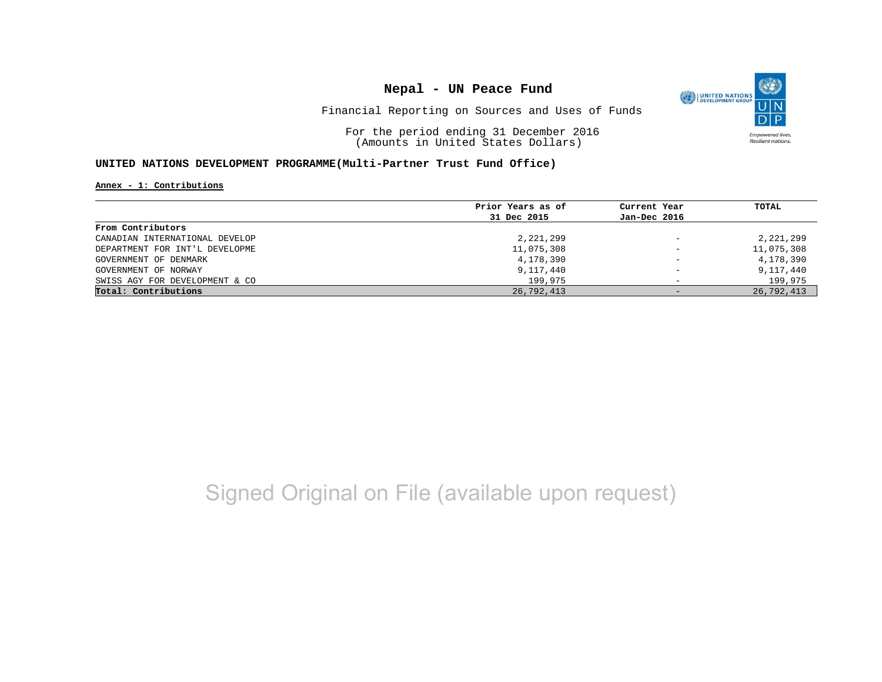

Financial Reporting on Sources and Uses of Funds

For the period ending 31 December 2016 (Amounts in United States Dollars)

### **UNITED NATIONS DEVELOPMENT PROGRAMME(Multi-Partner Trust Fund Office)**

**Annex - 1: Contributions**

|                                | Prior Years as of | Current Year             | TOTAL      |
|--------------------------------|-------------------|--------------------------|------------|
|                                | 31 Dec 2015       | Jan-Dec 2016             |            |
| From Contributors              |                   |                          |            |
| CANADIAN INTERNATIONAL DEVELOP | 2,221,299         | $\qquad \qquad -$        | 2,221,299  |
| DEPARTMENT FOR INT'L DEVELOPME | 11,075,308        | $\overline{\phantom{a}}$ | 11,075,308 |
| GOVERNMENT OF DENMARK          | 4,178,390         | $\overline{\phantom{m}}$ | 4,178,390  |
| GOVERNMENT OF NORWAY           | 9,117,440         | $\overline{\phantom{0}}$ | 9,117,440  |
| SWISS AGY FOR DEVELOPMENT & CO | 199,975           |                          | 199,975    |
| Total: Contributions           | 26,792,413        | $-$                      | 26,792,413 |

# Signed Original on File (available upon request)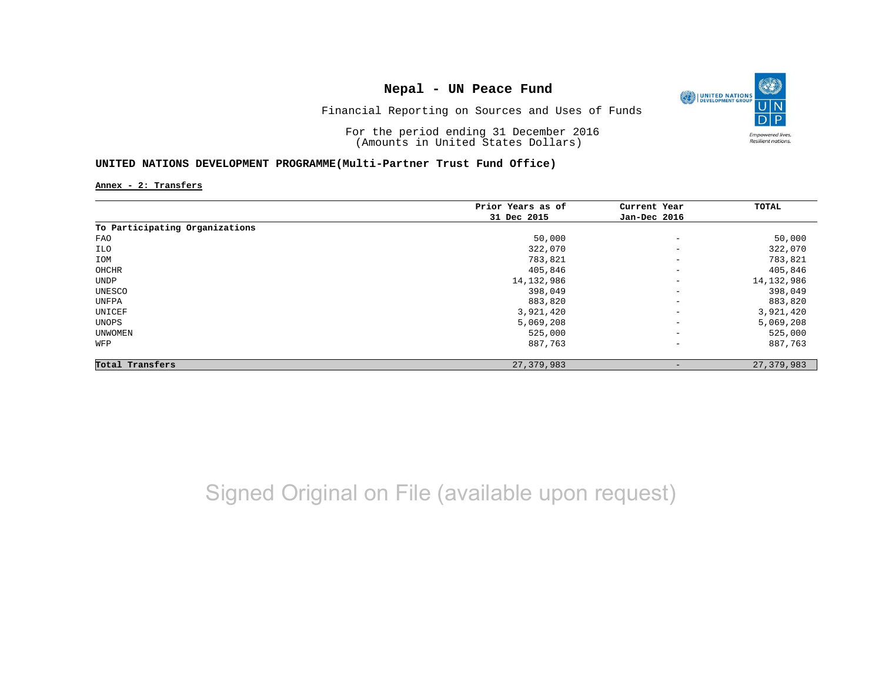

Financial Reporting on Sources and Uses of Funds

For the period ending 31 December 2016 (Amounts in United States Dollars)

### **UNITED NATIONS DEVELOPMENT PROGRAMME(Multi-Partner Trust Fund Office)**

**Annex - 2: Transfers**

|                                | Prior Years as of | Current Year             | TOTAL        |
|--------------------------------|-------------------|--------------------------|--------------|
|                                | 31 Dec 2015       | Jan-Dec 2016             |              |
| To Participating Organizations |                   |                          |              |
| FAO                            | 50,000            | $\qquad \qquad -$        | 50,000       |
| ILO                            | 322,070           | $\qquad \qquad -$        | 322,070      |
| IOM                            | 783,821           | $\qquad \qquad -$        | 783,821      |
| OHCHR                          | 405,846           | $\overline{\phantom{a}}$ | 405,846      |
| UNDP                           | 14, 132, 986      | $\overline{\phantom{a}}$ | 14, 132, 986 |
| UNESCO                         | 398,049           | $\overline{\phantom{a}}$ | 398,049      |
| UNFPA                          | 883,820           | $\qquad \qquad -$        | 883,820      |
| UNICEF                         | 3,921,420         | $\qquad \qquad -$        | 3,921,420    |
| UNOPS                          | 5,069,208         | $\qquad \qquad -$        | 5,069,208    |
| UNWOMEN                        | 525,000           | $\overline{\phantom{a}}$ | 525,000      |
| WFP                            | 887,763           | $\qquad \qquad -$        | 887,763      |
| Total Transfers                | 27,379,983        |                          | 27,379,983   |

Signed Original on File (available upon request)